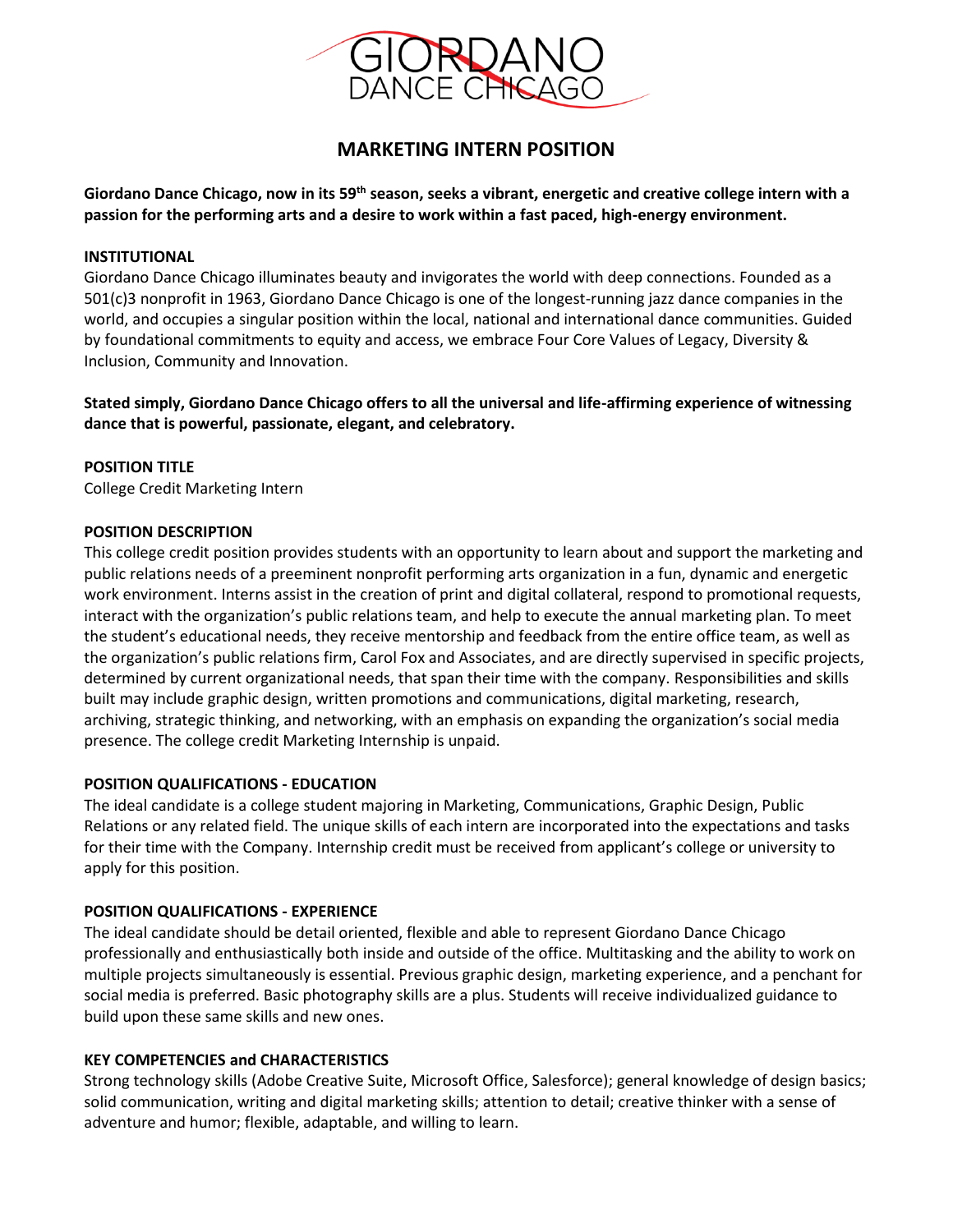

# **MARKETING INTERN POSITION**

**Giordano Dance Chicago, now in its 59th season, seeks a vibrant, energetic and creative college intern with a passion for the performing arts and a desire to work within a fast paced, high-energy environment.**

## **INSTITUTIONAL**

Giordano Dance Chicago illuminates beauty and invigorates the world with deep connections. Founded as a 501(c)3 nonprofit in 1963, Giordano Dance Chicago is one of the longest-running jazz dance companies in the world, and occupies a singular position within the local, national and international dance communities. Guided by foundational commitments to equity and access, we embrace Four Core Values of Legacy, Diversity & Inclusion, Community and Innovation.

**Stated simply, Giordano Dance Chicago offers to all the universal and life-affirming experience of witnessing dance that is powerful, passionate, elegant, and celebratory.**

### **POSITION TITLE**

College Credit Marketing Intern

#### **POSITION DESCRIPTION**

This college credit position provides students with an opportunity to learn about and support the marketing and public relations needs of a preeminent nonprofit performing arts organization in a fun, dynamic and energetic work environment. Interns assist in the creation of print and digital collateral, respond to promotional requests, interact with the organization's public relations team, and help to execute the annual marketing plan. To meet the student's educational needs, they receive mentorship and feedback from the entire office team, as well as the organization's public relations firm, Carol Fox and Associates, and are directly supervised in specific projects, determined by current organizational needs, that span their time with the company. Responsibilities and skills built may include graphic design, written promotions and communications, digital marketing, research, archiving, strategic thinking, and networking, with an emphasis on expanding the organization's social media presence. The college credit Marketing Internship is unpaid.

#### **POSITION QUALIFICATIONS - EDUCATION**

The ideal candidate is a college student majoring in Marketing, Communications, Graphic Design, Public Relations or any related field. The unique skills of each intern are incorporated into the expectations and tasks for their time with the Company. Internship credit must be received from applicant's college or university to apply for this position.

#### **POSITION QUALIFICATIONS - EXPERIENCE**

The ideal candidate should be detail oriented, flexible and able to represent Giordano Dance Chicago professionally and enthusiastically both inside and outside of the office. Multitasking and the ability to work on multiple projects simultaneously is essential. Previous graphic design, marketing experience, and a penchant for social media is preferred. Basic photography skills are a plus. Students will receive individualized guidance to build upon these same skills and new ones.

#### **KEY COMPETENCIES and CHARACTERISTICS**

Strong technology skills (Adobe Creative Suite, Microsoft Office, Salesforce); general knowledge of design basics; solid communication, writing and digital marketing skills; attention to detail; creative thinker with a sense of adventure and humor; flexible, adaptable, and willing to learn.